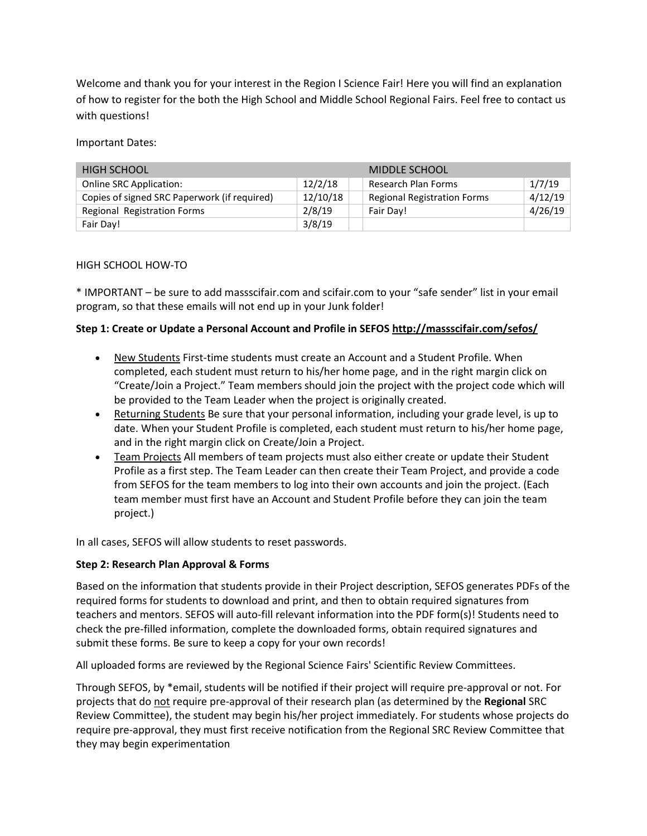Welcome and thank you for your interest in the Region I Science Fair! Here you will find an explanation of how to register for the both the High School and Middle School Regional Fairs. Feel free to contact us with questions!

Important Dates:

| <b>HIGH SCHOOL</b>                           |          | MIDDLE SCHOOL                      |         |
|----------------------------------------------|----------|------------------------------------|---------|
| Online SRC Application:                      | 12/2/18  | Research Plan Forms                | 1/7/19  |
| Copies of signed SRC Paperwork (if required) | 12/10/18 | <b>Regional Registration Forms</b> | 4/12/19 |
| Regional Registration Forms                  | 2/8/19   | Fair Day!                          | 4/26/19 |
| Fair Day!                                    | 3/8/19   |                                    |         |

## HIGH SCHOOL HOW-TO

\* IMPORTANT – be sure to add massscifair.com and scifair.com to your "safe sender" list in your email program, so that these emails will not end up in your Junk folder!

# **Step 1: Create or Update a Personal Account and Profile in SEFOS <http://massscifair.com/sefos/>**

- New Students First-time students must create an Account and a Student Profile. When completed, each student must return to his/her home page, and in the right margin click on "Create/Join a Project." Team members should join the project with the project code which will be provided to the Team Leader when the project is originally created.
- Returning Students Be sure that your personal information, including your grade level, is up to date. When your Student Profile is completed, each student must return to his/her home page, and in the right margin click on Create/Join a Project.
- Team Projects All members of team projects must also either create or update their Student Profile as a first step. The Team Leader can then create their Team Project, and provide a code from SEFOS for the team members to log into their own accounts and join the project. (Each team member must first have an Account and Student Profile before they can join the team project.)

In all cases, SEFOS will allow students to reset passwords.

## **Step 2: Research Plan Approval & Forms**

Based on the information that students provide in their Project description, SEFOS generates PDFs of the required forms for students to download and print, and then to obtain required signatures from teachers and mentors. SEFOS will auto-fill relevant information into the PDF form(s)! Students need to check the pre-filled information, complete the downloaded forms, obtain required signatures and submit these forms. Be sure to keep a copy for your own records!

All uploaded forms are reviewed by the Regional Science Fairs' Scientific Review Committees.

Through SEFOS, by \*email, students will be notified if their project will require pre-approval or not. For projects that do not require pre-approval of their research plan (as determined by the **Regional** SRC Review Committee), the student may begin his/her project immediately. For students whose projects do require pre-approval, they must first receive notification from the Regional SRC Review Committee that they may begin experimentation